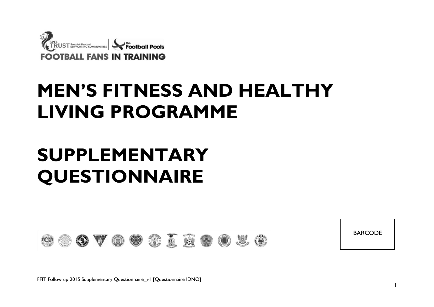

# **MEN'S FITNESS AND HEALTHY LIVING PROGRAMME**

# **SUPPLEMENTARY QUESTIONNAIRE**



BARCODE

FFIT Follow up 2015 Supplementary Questionnaire\_v1 [Questionnaire IDNO]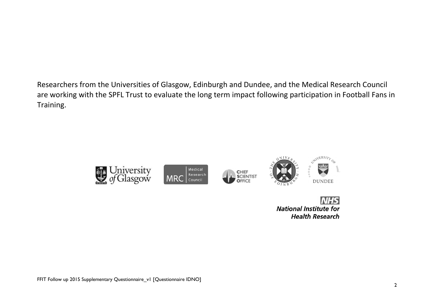Researchers from the Universities of Glasgow, Edinburgh and Dundee, and the Medical Research Council are working with the SPFL Trust to evaluate the long term impact following participation in Football Fans in Training.



**National Institute for Health Research**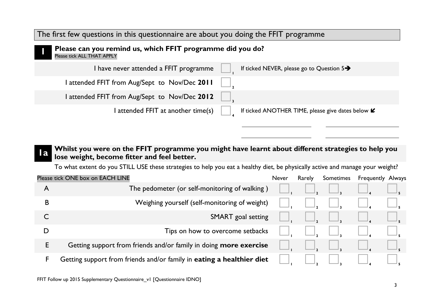#### The first few questions in this questionnaire are about you doing the FFIT programme

| Please can you remind us, which FFIT programme did you do?<br>Please tick ALL THAT APPLY |                                                       |
|------------------------------------------------------------------------------------------|-------------------------------------------------------|
| I have never attended a FFIT programme                                                   | If ticked NEVER, please go to Question $5\rightarrow$ |
| attended FFIT from Aug/Sept to Nov/Dec 2011                                              |                                                       |
| attended FFIT from Aug/Sept to Nov/Dec 2012                                              |                                                       |
| I attended FFIT at another time(s)                                                       | If ticked ANOTHER TIME, please give dates below L     |

#### **1 1 1 Whilst you were on the FFIT programme you might have learnt about different strategies to help you lose weight, become fitter and feel better.**

To what extent do you STILL USE these strategies to help you eat a healthy diet, be physically active and manage your weight?

|   | Please tick ONE box on EACH LINE                                      | <b>Never</b> | Rarely | Sometimes | <b>Frequently Always</b> |  |
|---|-----------------------------------------------------------------------|--------------|--------|-----------|--------------------------|--|
| A | The pedometer (or self-monitoring of walking)                         |              |        |           |                          |  |
| B | Weighing yourself (self-monitoring of weight)                         |              |        |           |                          |  |
|   | <b>SMART</b> goal setting                                             |              |        |           |                          |  |
|   | Tips on how to overcome setbacks                                      |              |        |           |                          |  |
| E | Getting support from friends and/or family in doing more exercise     |              |        |           |                          |  |
| F | Getting support from friends and/or family in eating a healthier diet |              |        |           |                          |  |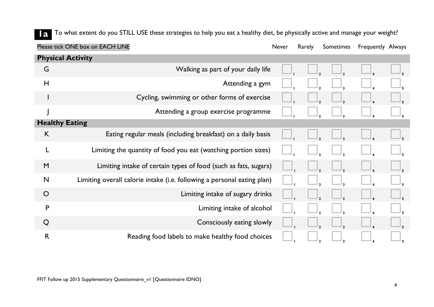**1** To what extent do you STILL USE these strategies to help you eat a healthy diet, be physically active and manage your weight?

|                          | Please tick ONE box on EACH LINE                                        | Never | Rarely | Sometimes | Frequently Always |  |
|--------------------------|-------------------------------------------------------------------------|-------|--------|-----------|-------------------|--|
| <b>Physical Activity</b> |                                                                         |       |        |           |                   |  |
| G                        | Walking as part of your daily life                                      |       |        |           |                   |  |
| H                        | Attending a gym                                                         |       |        |           |                   |  |
|                          | Cycling, swimming or other forms of exercise                            |       |        |           |                   |  |
|                          | Attending a group exercise programme                                    |       |        |           |                   |  |
| <b>Healthy Eating</b>    |                                                                         |       |        |           |                   |  |
| K                        | Eating regular meals (including breakfast) on a daily basis             |       |        |           |                   |  |
|                          | Limiting the quantity of food you eat (watching portion sizes)          |       |        |           |                   |  |
| M                        | Limiting intake of certain types of food (such as fats, sugars)         |       |        |           |                   |  |
| $\mathsf{N}$             | Limiting overall calorie intake (i.e. following a personal eating plan) |       |        |           |                   |  |
| $\circ$                  | Limiting intake of sugary drinks                                        |       |        |           |                   |  |
| P                        | Limiting intake of alcohol                                              |       |        |           |                   |  |
| Q                        | Consciously eating slowly                                               |       |        |           |                   |  |
| $\mathsf{R}$             | Reading food labels to make healthy food choices                        |       |        |           |                   |  |
|                          |                                                                         |       |        |           |                   |  |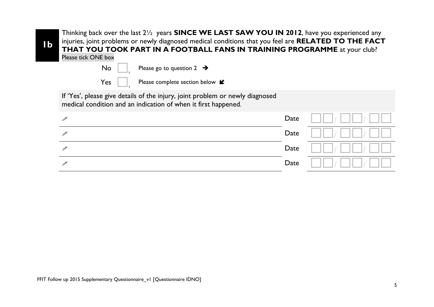| IЬ | Thinking back over the last 21/2 years <b>SINCE WE LAST SAW YOU IN 2012</b> , have you experienced any<br>injuries, joint problems or newly diagnosed medical conditions that you feel are RELATED TO THE FACT<br>THAT YOU TOOK PART IN A FOOTBALL FANS IN TRAINING PROGRAMME at your club?<br>Please tick ONE box |      |  |
|----|--------------------------------------------------------------------------------------------------------------------------------------------------------------------------------------------------------------------------------------------------------------------------------------------------------------------|------|--|
|    | No<br>Please go to question $2 \rightarrow$                                                                                                                                                                                                                                                                        |      |  |
|    | Yes<br>Please complete section below $\mathcal L$                                                                                                                                                                                                                                                                  |      |  |
|    | If 'Yes', please give details of the injury, joint problem or newly diagnosed<br>medical condition and an indication of when it first happened.                                                                                                                                                                    |      |  |
|    |                                                                                                                                                                                                                                                                                                                    | Date |  |
|    |                                                                                                                                                                                                                                                                                                                    | Date |  |
|    |                                                                                                                                                                                                                                                                                                                    | Date |  |
|    |                                                                                                                                                                                                                                                                                                                    | Date |  |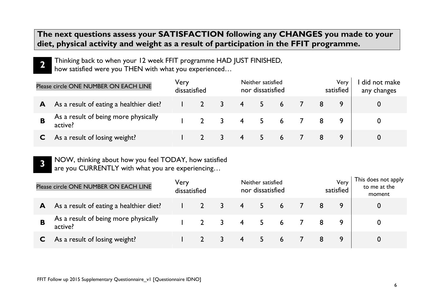### **The next questions assess your SATISFACTION following any CHANGES you made to your diet, physical activity and weight as a result of participation in the FFIT programme.**

**2** Thinking back to when your 12 week FFIT programme HAD JUST FINISHED, how satisfied were you THEN with what you experienced…

|   | Please circle ONE NUMBER ON EACH LINE           | Very<br>dissatisfied |                |             | Neither satisfied<br>nor dissatisfied |  |   | Very<br>satisfied | did not make<br>any changes |
|---|-------------------------------------------------|----------------------|----------------|-------------|---------------------------------------|--|---|-------------------|-----------------------------|
| A | As a result of eating a healthier diet?         |                      |                |             | 4 5 6 7                               |  | 8 |                   |                             |
|   | As a result of being more physically<br>active? |                      | $\overline{2}$ | 3 4 5 6 7 8 |                                       |  |   |                   |                             |
|   | As a result of losing weight?                   |                      |                |             | 4 5 6 7 8                             |  |   |                   |                             |

**3** NOW, thinking about how you feel TODAY, how satisfied are you CURRENTLY with what you are experiencing…

|   | Please circle ONE NUMBER ON EACH LINE           | Very<br>dissatisfied |   |                | Neither satisfied<br>nor dissatisfied |            |    | Very<br>satisfied | This does not apply<br>to me at the<br>moment |
|---|-------------------------------------------------|----------------------|---|----------------|---------------------------------------|------------|----|-------------------|-----------------------------------------------|
| A | As a result of eating a healthier diet?         |                      | 3 | $\overline{4}$ |                                       | $5\quad 6$ | 8  |                   |                                               |
|   | As a result of being more physically<br>active? |                      | 3 | 4              | $5\quad 6$                            |            |    |                   |                                               |
|   | As a result of losing weight?                   |                      |   | $\overline{4}$ |                                       | 6          | -8 |                   |                                               |

FFIT Follow up 2015 Supplementary Questionnaire\_v1 [Questionnaire IDNO]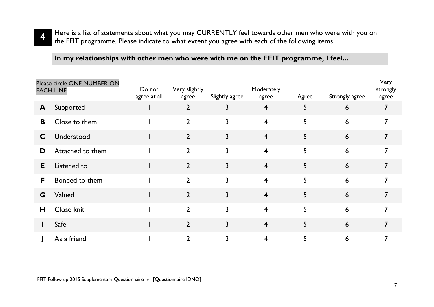

**In my relationships with other men who were with me on the FFIT programme, I feel...**

|    | Please circle ONE NUMBER ON<br><b>EACH LINE</b> | Do not<br>agree at all | Very slightly<br>agree | Slightly agree | Moderately<br>agree     | Agree | Strongly agree | Very<br>strongly<br>agree |
|----|-------------------------------------------------|------------------------|------------------------|----------------|-------------------------|-------|----------------|---------------------------|
| A  | Supported                                       |                        | $\overline{2}$         | 3              | $\overline{4}$          | 5     | 6              | 7                         |
| B  | Close to them                                   |                        | $\overline{2}$         | 3              | $\overline{\mathbf{4}}$ | 5     | 6              | 7                         |
| C  | Understood                                      |                        | $\overline{2}$         | 3              | $\overline{4}$          | 5     | 6              | 7                         |
| D  | Attached to them                                |                        | $\overline{2}$         | 3              | $\overline{4}$          | 5     | 6              | 7                         |
| E. | Listened to                                     |                        | $\overline{2}$         | 3              | $\overline{4}$          | 5     | 6              | 7                         |
| F  | Bonded to them                                  |                        | $\overline{2}$         | 3              | $\overline{4}$          | 5     | 6              | 7                         |
| G  | Valued                                          |                        | $\overline{2}$         | 3              | $\overline{4}$          | 5     | 6              | $\overline{7}$            |
| Н  | Close knit                                      |                        | $\overline{2}$         | 3              | $\overline{4}$          | 5     | 6              | 7                         |
|    | Safe                                            |                        | $\overline{2}$         | 3              | $\overline{4}$          | 5     | 6              | 7                         |
|    | As a friend                                     |                        | $\overline{2}$         | 3              | 4                       | 5     | 6              | 7                         |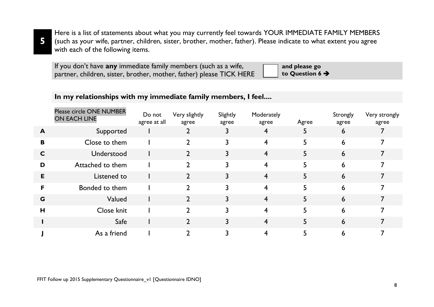**5**

Here is a list of statements about what you may currently feel towards YOUR IMMEDIATE FAMILY MEMBERS (such as your wife, partner, children, sister, brother, mother, father). Please indicate to what extent you agree with each of the following items.

| If you don't have any immediate family members (such as a wife,      | and please go               |
|----------------------------------------------------------------------|-----------------------------|
| partner, children, sister, brother, mother, father) please TICK HERE | to Question 6 $\rightarrow$ |

#### **In my relationships with my immediate family members, I feel....**

|                  | Please circle ONE NUMBER<br>ON EACH LINE | Do not<br>agree at all | Very slightly<br>agree | Slightly<br>agree | Moderately<br>agree | Agree | Strongly<br>agree | Very strongly<br>agree |
|------------------|------------------------------------------|------------------------|------------------------|-------------------|---------------------|-------|-------------------|------------------------|
| $\blacktriangle$ | Supported                                |                        |                        |                   | 4                   | 5     | 6                 |                        |
| B                | Close to them                            |                        |                        |                   | 4                   | 5     | 6                 |                        |
| C                | Understood                               |                        |                        |                   | $\overline{4}$      | 5.    | 6                 |                        |
| D                | Attached to them                         |                        | $\overline{2}$         |                   | 4                   | 5     | 6                 |                        |
| Е                | Listened to                              |                        |                        |                   | 4                   | 5.    | 6                 |                        |
| F                | Bonded to them                           |                        |                        |                   | 4                   | 5     | 6                 |                        |
| G                | Valued                                   |                        |                        |                   | 4                   | 5     | 6                 |                        |
| H                | Close knit                               |                        | $\mathbf{2}$           |                   | 4                   | 5     | 6                 |                        |
|                  | Safe                                     |                        |                        |                   | 4                   | 5     | 6                 |                        |
|                  | As a friend                              |                        |                        |                   |                     |       | 6                 |                        |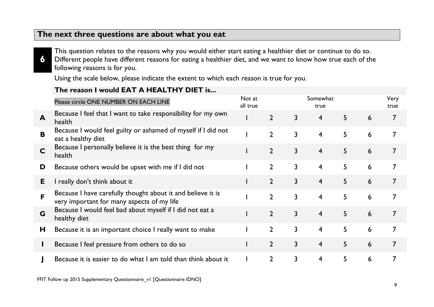#### **The next three questions are about what you eat**

**6**

This question relates to the reasons why you would either start eating a healthier diet or continue to do so. Different people have different reasons for eating a healthier diet, and we want to know how true each of the following reasons is for you.

Using the scale below, please indicate the extent to which each reason is true for you.

#### **The reason I would EAT A HEALTHY DIET is...**

|   | Please circle ONE NUMBER ON EACH LINE                                                                     | Not at<br>all true |                |                | Somewhat<br>true |                 |   | Very<br>true   |
|---|-----------------------------------------------------------------------------------------------------------|--------------------|----------------|----------------|------------------|-----------------|---|----------------|
| A | Because I feel that I want to take responsibility for my own<br>health                                    |                    | $\overline{2}$ | $\mathbf{3}$   | 4                | 5               | 6 | 7              |
| B | Because I would feel guilty or ashamed of myself if I did not<br>eat a healthy diet                       |                    | $\overline{2}$ | $\mathbf{3}$   | 4                | 5               | 6 |                |
| C | Because I personally believe it is the best thing for my<br>health                                        |                    | $\overline{2}$ | $\mathsf{3}$   | $\overline{4}$   | 5 <sup>5</sup>  | 6 | 7              |
| D | Because others would be upset with me if I did not                                                        |                    | $\overline{2}$ | $\overline{3}$ | $\overline{4}$   | $5\overline{)}$ | 6 |                |
| E | I really don't think about it                                                                             |                    | $\overline{2}$ | $\overline{3}$ | $\overline{4}$   | 5 <sup>5</sup>  | 6 | $\overline{7}$ |
| F | Because I have carefully thought about it and believe it is<br>very important for many aspects of my life |                    | $\overline{2}$ | $\overline{3}$ | $\overline{4}$   | 5               | 6 |                |
| G | Because I would feel bad about myself if I did not eat a<br>healthy diet                                  |                    | $\overline{2}$ | $\mathbf{3}$   | $\overline{4}$   | 5 <sup>5</sup>  | 6 | $\overline{7}$ |
| H | Because it is an important choice I really want to make                                                   |                    | $\overline{2}$ | $\mathbf{3}$   | $\overline{4}$   | 5               | 6 |                |
| L | Because I feel pressure from others to do so                                                              |                    | $\overline{2}$ | $\mathsf{3}$   | $\overline{4}$   | 5               | 6 |                |
|   | Because it is easier to do what I am told than think about it                                             |                    | $\overline{2}$ | 3              | $\overline{4}$   | 5               | 6 |                |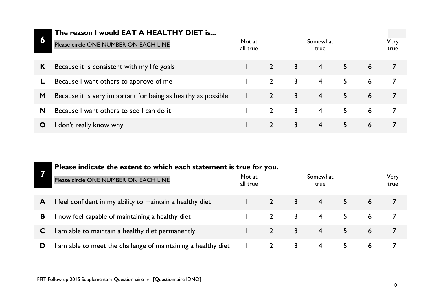# **6**

#### **The reason I would EAT A HEALTHY DIET is...**

| b | Please circle ONE NUMBER ON EACH LINE                         | Not at<br>all true |              |   | Somewhat<br>true |    |   | Very<br>true |
|---|---------------------------------------------------------------|--------------------|--------------|---|------------------|----|---|--------------|
| K | Because it is consistent with my life goals                   |                    |              | 3 | $\overline{4}$   | 5  | 6 |              |
|   | Because I want others to approve of me                        |                    | $2^{\circ}$  | 3 | $\overline{4}$   | 5. | 6 |              |
| M | Because it is very important for being as healthy as possible |                    | $\mathbf{2}$ | 3 | $\overline{4}$   | 5  | 6 |              |
| N | Because I want others to see I can do it                      |                    |              | 3 | $\overline{4}$   | 5. | 6 |              |
|   | don't really know why                                         |                    |              | 3 | $\overline{4}$   | 5  | 6 |              |

| Please indicate the extent to which each statement is true for you. |  |
|---------------------------------------------------------------------|--|
|---------------------------------------------------------------------|--|

|   | Please circle ONE NUMBER ON EACH LINE                         | Not at<br>all true | Somewhat<br>true |                |  | Very<br>true |  |  |
|---|---------------------------------------------------------------|--------------------|------------------|----------------|--|--------------|--|--|
| A | I feel confident in my ability to maintain a healthy diet     |                    |                  | $\overline{4}$ |  | 6            |  |  |
| В | now feel capable of maintaining a healthy diet                |                    |                  | $\overline{4}$ |  | 6            |  |  |
|   | I am able to maintain a healthy diet permanently              |                    |                  | $\overline{4}$ |  | 6            |  |  |
|   | I am able to meet the challenge of maintaining a healthy diet |                    |                  | 4              |  | 6            |  |  |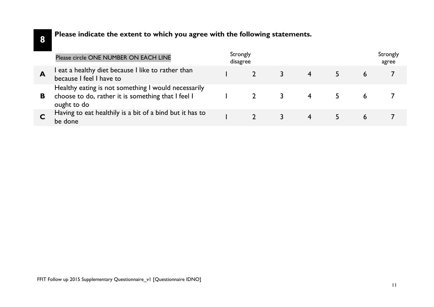#### **Please indicate the extent to which you agree with the following statements.**

|   | Please circle ONE NUMBER ON EACH LINE                                                                                    | Strongly<br>disagree |  |  | Strongly<br>agree |
|---|--------------------------------------------------------------------------------------------------------------------------|----------------------|--|--|-------------------|
|   | eat a healthy diet because I like to rather than<br>because I feel I have to                                             |                      |  |  |                   |
| В | Healthy eating is not something I would necessarily<br>choose to do, rather it is something that I feel I<br>ought to do |                      |  |  |                   |
|   | Having to eat healthily is a bit of a bind but it has to<br>be done                                                      |                      |  |  |                   |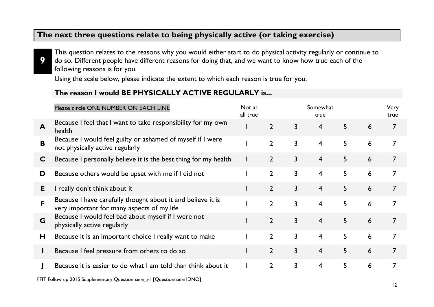#### **The next three questions relate to being physically active (or taking exercise)**

**9** This question relates to the reasons why you would either start to do physical activity regularly or continue to do so. Different people have different reasons for doing that, and we want to know how true each of the following reasons is for you.

Using the scale below, please indicate the extent to which each reason is true for you.

#### **The reason I would BE PHYSICALLY ACTIVE REGULARLY is...**

|    | Please circle ONE NUMBER ON EACH LINE                                                                     | Not at<br>all true |                |                | Somewhat<br>true        |   |   | Very<br>true   |
|----|-----------------------------------------------------------------------------------------------------------|--------------------|----------------|----------------|-------------------------|---|---|----------------|
| A  | Because I feel that I want to take responsibility for my own<br>health                                    |                    | $\overline{2}$ | 3              | 4                       | 5 | 6 | 7              |
| B  | Because I would feel guilty or ashamed of myself if I were<br>not physically active regularly             |                    | $\overline{2}$ | 3              | $\overline{4}$          | 5 | 6 |                |
| C  | Because I personally believe it is the best thing for my health                                           |                    | $\overline{2}$ | $\mathbf{3}$   | 4                       | 5 | 6 | 7              |
| D  | Because others would be upset with me if I did not                                                        |                    | $\overline{2}$ | 3              | 4                       | 5 | 6 | 7              |
| E. | I really don't think about it                                                                             |                    | $\overline{2}$ | 3              | $\overline{4}$          | 5 | 6 |                |
| F  | Because I have carefully thought about it and believe it is<br>very important for many aspects of my life |                    | $\overline{2}$ | $\mathsf{3}$   | $\overline{4}$          | 5 | 6 |                |
| G  | Because I would feel bad about myself if I were not<br>physically active regularly                        |                    | $\overline{2}$ | $\overline{3}$ | $\overline{4}$          | 5 | 6 |                |
| Н  | Because it is an important choice I really want to make                                                   |                    | $\overline{2}$ | $\mathsf{3}$   | $\overline{4}$          | 5 | 6 | 7              |
| L  | Because I feel pressure from others to do so                                                              |                    | $\overline{2}$ | $\overline{3}$ | $\overline{4}$          | 5 | 6 | $\overline{7}$ |
|    | Because it is easier to do what I am told than think about it                                             |                    | $\overline{2}$ | $\mathbf{3}$   | $\overline{\mathbf{4}}$ | 5 | 6 |                |

FFIT Follow up 2015 Supplementary Questionnaire v1 [Questionnaire IDNO]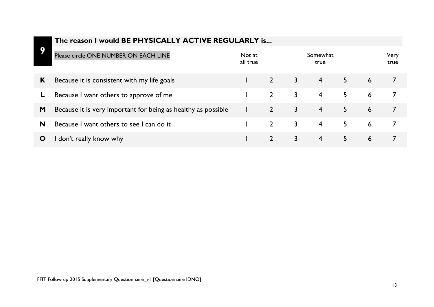|   | The reason I would BE PHYSICALLY ACTIVE REGULARLY is          |                    |                |                |                  |   |              |  |
|---|---------------------------------------------------------------|--------------------|----------------|----------------|------------------|---|--------------|--|
| О | Please circle ONE NUMBER ON EACH LINE                         | Not at<br>all true |                |                | Somewhat<br>true |   | Very<br>true |  |
| K | Because it is consistent with my life goals                   |                    | $\sqrt{2}$     | $\overline{3}$ | $\overline{4}$   | 5 | 6            |  |
|   | Because I want others to approve of me                        |                    | $\overline{2}$ | 3              | $\overline{4}$   | 5 | 6            |  |
| M | Because it is very important for being as healthy as possible |                    | $\overline{2}$ | 3              | $\overline{4}$   | 5 | 6            |  |
| N | Because I want others to see I can do it                      |                    | $\overline{2}$ | 3              | $\overline{4}$   | 5 | 6            |  |
| O | don't really know why                                         |                    | $\overline{2}$ | 3              | 4                | 5 | 6            |  |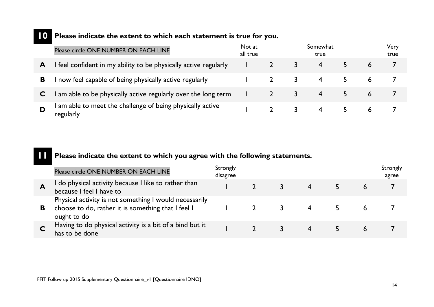# **10 Please indicate the extent to which each statement is true for you.**

|   | Please circle ONE NUMBER ON EACH LINE                                   | Not at<br>all true |  | Somewhat<br>true |   | Very<br>true |
|---|-------------------------------------------------------------------------|--------------------|--|------------------|---|--------------|
| A | I feel confident in my ability to be physically active regularly        |                    |  | 4                | 6 |              |
| в | I now feel capable of being physically active regularly                 |                    |  |                  |   |              |
|   | I am able to be physically active regularly over the long term          |                    |  |                  | 6 |              |
|   | I am able to meet the challenge of being physically active<br>regularly |                    |  |                  | b |              |

### **11 Please indicate the extent to which you agree with the following statements.**

|    | Please circle ONE NUMBER ON EACH LINE                                                                                       | Strongly<br>disagree |  |  | Strongly<br>agree |
|----|-----------------------------------------------------------------------------------------------------------------------------|----------------------|--|--|-------------------|
| A  | I do physical activity because I like to rather than<br>because I feel I have to                                            |                      |  |  |                   |
| B. | Physical activity is not something I would necessarily<br>choose to do, rather it is something that I feel I<br>ought to do |                      |  |  |                   |
|    | Having to do physical activity is a bit of a bind but it<br>has to be done                                                  |                      |  |  |                   |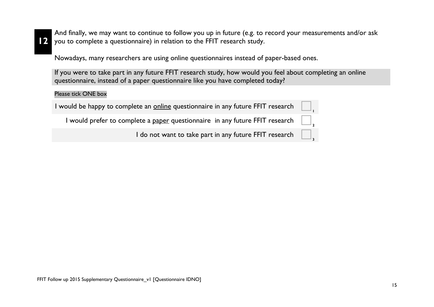**12**

And finally, we may want to continue to follow you up in future (e.g. to record your measurements and/or ask you to complete a questionnaire) in relation to the FFIT research study.

Nowadays, many researchers are using online questionnaires instead of paper-based ones.

If you were to take part in any future FFIT research study, how would you feel about completing an online questionnaire, instead of a paper questionnaire like you have completed today?

#### Please tick ONE box

| I would be happy to complete an <u>online</u> questionnaire in any future FFIT research    |  |
|--------------------------------------------------------------------------------------------|--|
| I would prefer to complete a <u>paper</u> questionnaire in any future FFIT research $\Box$ |  |
| I do not want to take part in any future FFIT research $\Box$                              |  |